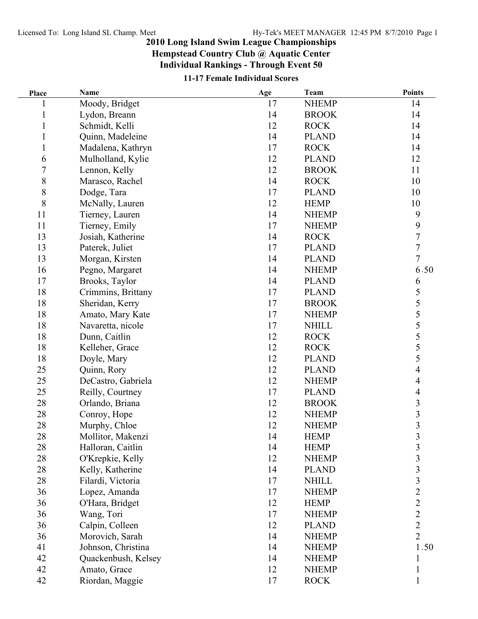## **2010 Long Island Swim League Championships**

**Hempstead Country Club @ Aquatic Center Individual Rankings - Through Event 50**

| Place          | Name                | Age | Team         | <b>Points</b>            |
|----------------|---------------------|-----|--------------|--------------------------|
|                | Moody, Bridget      | 17  | <b>NHEMP</b> | 14                       |
|                | Lydon, Breann       | 14  | <b>BROOK</b> | 14                       |
| 1              | Schmidt, Kelli      | 12  | <b>ROCK</b>  | 14                       |
|                | Quinn, Madeleine    | 14  | <b>PLAND</b> | 14                       |
| $\mathbf{1}$   | Madalena, Kathryn   | 17  | <b>ROCK</b>  | 14                       |
| 6              | Mulholland, Kylie   | 12  | <b>PLAND</b> | 12                       |
| $\overline{7}$ | Lennon, Kelly       | 12  | <b>BROOK</b> | 11                       |
| 8              | Marasco, Rachel     | 14  | <b>ROCK</b>  | 10                       |
| 8              | Dodge, Tara         | 17  | <b>PLAND</b> | 10                       |
| 8              | McNally, Lauren     | 12  | <b>HEMP</b>  | 10                       |
| 11             | Tierney, Lauren     | 14  | <b>NHEMP</b> | 9                        |
| 11             | Tierney, Emily      | 17  | <b>NHEMP</b> | 9                        |
| 13             | Josiah, Katherine   | 14  | <b>ROCK</b>  | 7                        |
| 13             | Paterek, Juliet     | 17  | <b>PLAND</b> | $\overline{7}$           |
| 13             | Morgan, Kirsten     | 14  | <b>PLAND</b> | $\overline{7}$           |
| 16             | Pegno, Margaret     | 14  | <b>NHEMP</b> | 6.50                     |
| 17             | Brooks, Taylor      | 14  | <b>PLAND</b> | 6                        |
| 18             | Crimmins, Brittany  | 17  | <b>PLAND</b> | 5                        |
| 18             | Sheridan, Kerry     | 17  | <b>BROOK</b> | 5                        |
| 18             | Amato, Mary Kate    | 17  | <b>NHEMP</b> | 5                        |
| 18             | Navaretta, nicole   | 17  | <b>NHILL</b> | 5                        |
| 18             | Dunn, Caitlin       | 12  | <b>ROCK</b>  |                          |
| 18             | Kelleher, Grace     | 12  | <b>ROCK</b>  | $rac{5}{5}$              |
| 18             | Doyle, Mary         | 12  | <b>PLAND</b> | 5                        |
| 25             | Quinn, Rory         | 12  | <b>PLAND</b> | $\overline{4}$           |
| 25             | DeCastro, Gabriela  | 12  | <b>NHEMP</b> | 4                        |
| 25             | Reilly, Courtney    | 17  | <b>PLAND</b> | $\overline{\mathcal{A}}$ |
| 28             | Orlando, Briana     | 12  | <b>BROOK</b> |                          |
| 28             | Conroy, Hope        | 12  | <b>NHEMP</b> | $\frac{3}{3}$            |
| 28             | Murphy, Chloe       | 12  | <b>NHEMP</b> | $\overline{3}$           |
| 28             | Mollitor, Makenzi   | 14  | <b>HEMP</b>  | 3                        |
| 28             | Halloran, Caitlin   | 14  | <b>HEMP</b>  | $\mathfrak{Z}$           |
| 28             | O'Krepkie, Kelly    | 12  | <b>NHEMP</b> | $\overline{\mathbf{3}}$  |
| 28             | Kelly, Katherine    | 14  | <b>PLAND</b> | $\overline{\mathbf{3}}$  |
| 28             | Filardi, Victoria   | 17  | <b>NHILL</b> | $\overline{\mathbf{3}}$  |
| 36             | Lopez, Amanda       | 17  | <b>NHEMP</b> | $\overline{2}$           |
| 36             | O'Hara, Bridget     | 12  | <b>HEMP</b>  | $\overline{c}$           |
| 36             | Wang, Tori          | 17  | <b>NHEMP</b> | $\overline{c}$           |
| 36             | Calpin, Colleen     | 12  | <b>PLAND</b> | $\overline{c}$           |
| 36             | Morovich, Sarah     | 14  | <b>NHEMP</b> | $\overline{2}$           |
| 41             | Johnson, Christina  | 14  | <b>NHEMP</b> | 1.50                     |
| 42             | Quackenbush, Kelsey | 14  | <b>NHEMP</b> |                          |
| 42             | Amato, Grace        | 12  | <b>NHEMP</b> |                          |
| 42             | Riordan, Maggie     | 17  | <b>ROCK</b>  | 1                        |